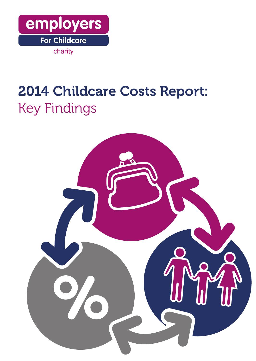

# 2014 Childcare Costs Report: Key Findings

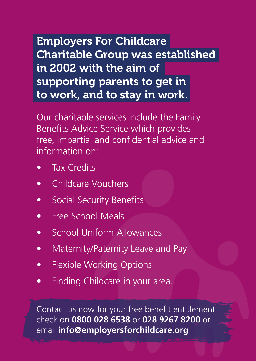Employers For Childcare Charitable Group was established in 2002 with the aim of supporting parents to get in to work, and to stay in work.

Our charitable services include the Family Benefits Advice Service which provides free, impartial and confidential advice and information on:

- Tax Credits
- Childcare Vouchers
- Social Security Benefits
- Free School Meals
- School Uniform Allowances
- Maternity/Paternity Leave and Pay
- Flexible Working Options
- Finding Childcare in your area.

Contact us now for your free benefit entitlement check on **0800 028 6538** or **028 9267 8200** or email **info@employersforchildcare.org**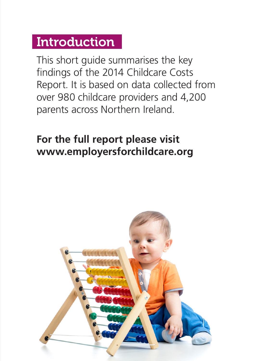#### **Introduction**

This short guide summarises the key findings of the 2014 Childcare Costs Report. It is based on data collected from over 980 childcare providers and 4,200 parents across Northern Ireland.

#### **For the full report please visit www.employersforchildcare.org**

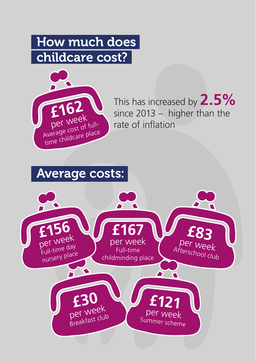# How much does childcare cost?



This has increased by **2.5%** since 2013 – higher than the rate of inflation

#### Average costs:

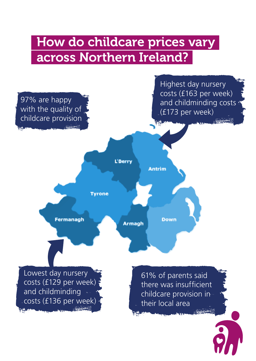### How do childcare prices vary across Northern Ireland?

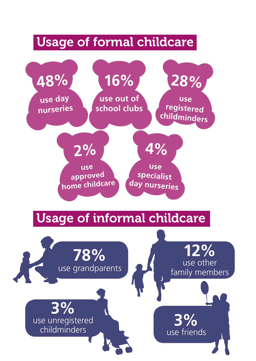#### Usage of formal childcare

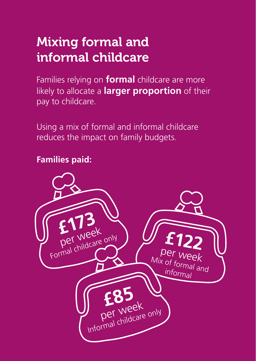# Mixing formal and informal childcare

Families relying on **formal** childcare are more likely to allocate a **larger proportion** of their pay to childcare.

Using a mix of formal and informal childcare reduces the impact on family budgets.

#### **Families paid:**

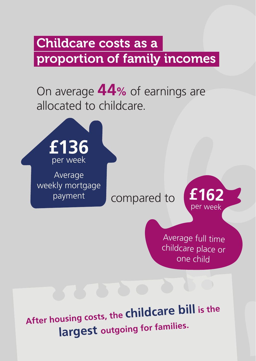### Childcare costs as a proportion of family incomes

### On average **44%** of earnings are allocated to childcare.



**After housing costs, the childcare bill is the largest outgoing for families.**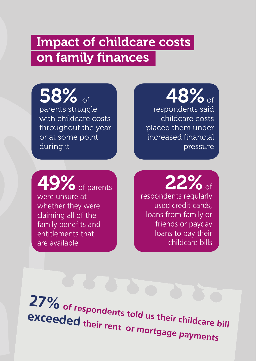#### Impact of childcare costs on family finances

58% of parents struggle with childcare costs throughout the year or at some point during it

# $48\%$  of respondents said

childcare costs placed them under increased financial pressure

 $\bullet$  of parents were unsure at whether they were claiming all of the family benefits and entitlements that are available

espondents regularly used credit cards, loans from family or friends or payday loans to pay their childcare bills

**27% of respondents told us their childcare bill exceeded their rent or mortgage payments**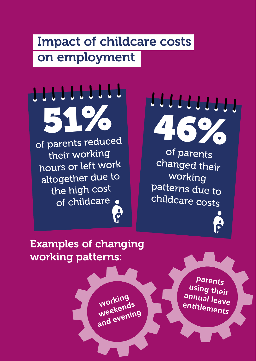### Impact of childcare costs on employment

51% of parents reduced their working hours or left work altogether due to the high cost of childcare .

<u>LLLLLLLLL</u>



of parents changed their working patterns due to childcare costs

Examples of changing working patterns:

> **working weekends and evening**

**parents using their annual leave entitlements**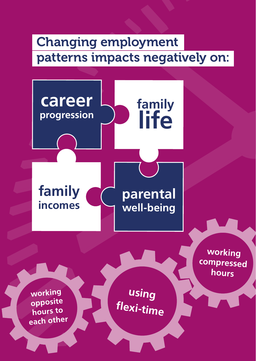# Changing employment patterns impacts negatively on:

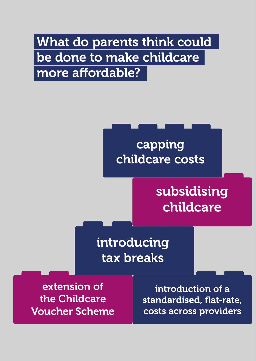# What do parents think could be done to make childcare more affordable?

## capping childcare costs

# subsidising childcare

introducing tax breaks

extension of the Childcare Voucher Scheme

introduction of a standardised, flat-rate, costs across providers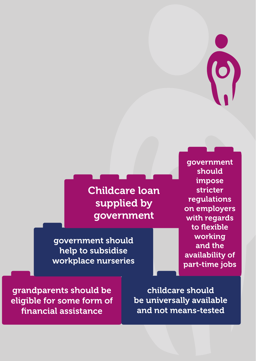

Childcare loan supplied by government

government should help to subsidise workplace nurseries

government should impose stricter regulations on employers with regards to flexible working and the availability of part-time jobs

grandparents should be eligible for some form of financial assistance

childcare should be universally available and not means-tested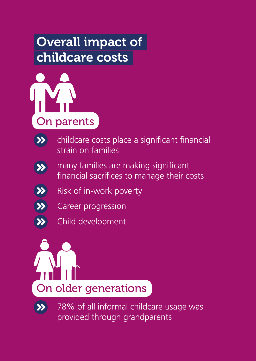# Overall impact of childcare costs





 childcare costs place a significant financial strain on families



 many families are making significant financial sacrifices to manage their costs

- Risk of in-work poverty
- Career progression
- Child development





 78% of all informal childcare usage was provided through grandparents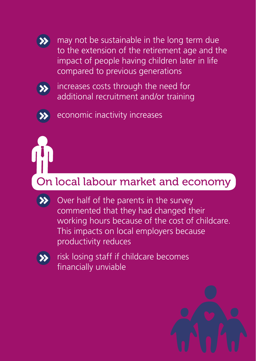

 may not be sustainable in the long term due to the extension of the retirement age and the impact of people having children later in life compared to previous generations



 increases costs through the need for additional recruitment and/or training



economic inactivity increases

#### On local labour market and economy

 Over half of the parents in the survey commented that they had changed their working hours because of the cost of childcare. This impacts on local employers because productivity reduces



 risk losing staff if childcare becomes financially unviable